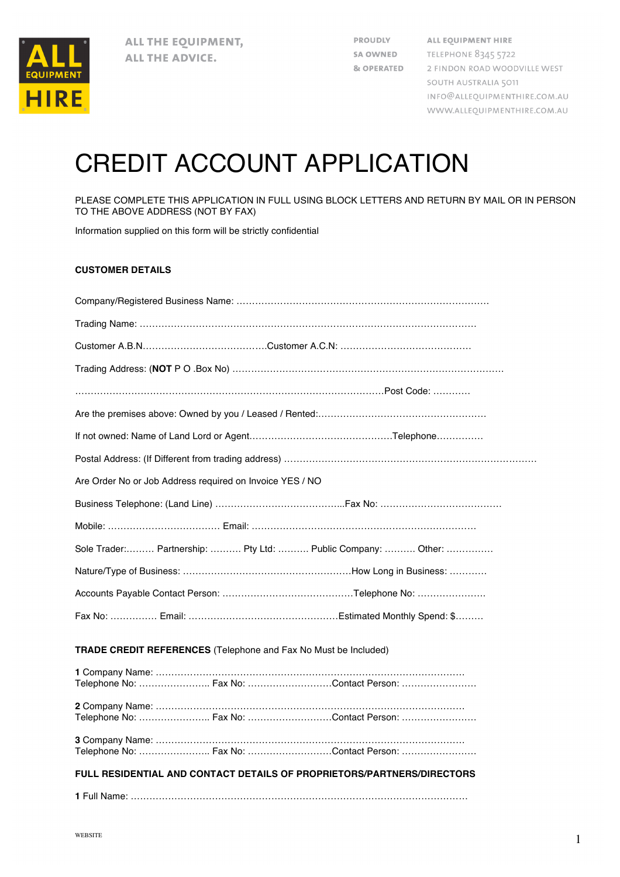

**PROUDLY** SA OWNED **& OPERATED**  ALL EQUIPMENT HIRE **TELEPHONE 8345 5722** 2 FINDON ROAD WOODVILLE WEST SOUTH AUSTRALIA 5011 INFO@ALLEQUIPMENTHIRE.COM.AU WWW.ALLEQUIPMENTHIRE.COM.AU

## CREDIT ACCOUNT APPLICATION

PLEASE COMPLETE THIS APPLICATION IN FULL USING BLOCK LETTERS AND RETURN BY MAIL OR IN PERSON TO THE ABOVE ADDRESS (NOT BY FAX)

Information supplied on this form will be strictly confidential

## **CUSTOMER DETAILS**

| Are Order No or Job Address required on Invoice YES / NO               |                                                                                                                       |                                                              |
|------------------------------------------------------------------------|-----------------------------------------------------------------------------------------------------------------------|--------------------------------------------------------------|
|                                                                        |                                                                                                                       |                                                              |
|                                                                        |                                                                                                                       |                                                              |
|                                                                        |                                                                                                                       | Sole Trader: Partnership:  Pty Ltd:  Public Company:  Other: |
|                                                                        |                                                                                                                       |                                                              |
|                                                                        |                                                                                                                       |                                                              |
|                                                                        |                                                                                                                       |                                                              |
| <b>TRADE CREDIT REFERENCES</b> (Telephone and Fax No Must be Included) |                                                                                                                       |                                                              |
| Telenhone No∵                                                          | <b>EAVING THE EAVING THE EAST OF THE EAST OF THE EAST OF THE EAST OF THE EAST OF THE EAST OF THE EAST OF THE EAST</b> |                                                              |

|                                                                        |  | <b>1 Company Name:</b> ………………………………………………………………………………………… |  |  |
|------------------------------------------------------------------------|--|-----------------------------------------------------------|--|--|
|                                                                        |  | Telephone No:  Fax No: Contact Person:                    |  |  |
|                                                                        |  |                                                           |  |  |
|                                                                        |  |                                                           |  |  |
|                                                                        |  | Telephone No:  Fax No: Contact Person:                    |  |  |
|                                                                        |  |                                                           |  |  |
|                                                                        |  |                                                           |  |  |
|                                                                        |  | Telephone No:  Fax No: Contact Person:                    |  |  |
|                                                                        |  |                                                           |  |  |
|                                                                        |  |                                                           |  |  |
| FULL RESIDENTIAL AND CONTACT DETAILS OF PROPRIETORS/PARTNERS/DIRECTORS |  |                                                           |  |  |
|                                                                        |  |                                                           |  |  |